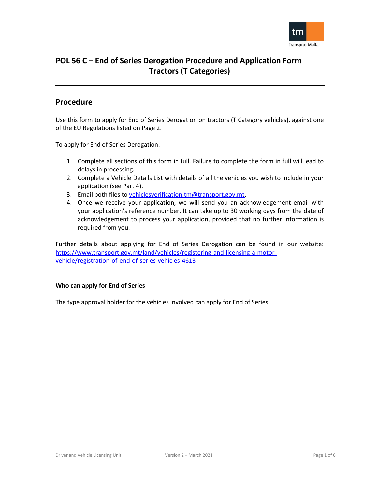

## **Procedure**

Use this form to apply for End of Series Derogation on tractors (T Category vehicles), against one of the EU Regulations listed on Page 2.

To apply for End of Series Derogation:

- 1. Complete all sections of this form in full. Failure to complete the form in full will lead to delays in processing.
- 2. Complete a Vehicle Details List with details of all the vehicles you wish to include in your application (see Part 4).
- 3. Email both files to [vehiclesverification.tm@transport.gov.mt.](mailto:vehiclesverification.tm@transport.gov.mt)
- 4. Once we receive your application, we will send you an acknowledgement email with your application's reference number. It can take up to 30 working days from the date of acknowledgement to process your application, provided that no further information is required from you.

Further details about applying for End of Series Derogation can be found in our website: [https://www.transport.gov.mt/land/vehicles/registering-and-licensing-a-motor](https://www.transport.gov.mt/land/vehicles/registering-and-licensing-a-motor-vehicle/registration-of-end-of-series-vehicles-4613)[vehicle/registration-of-end-of-series-vehicles-4613](https://www.transport.gov.mt/land/vehicles/registering-and-licensing-a-motor-vehicle/registration-of-end-of-series-vehicles-4613)

### **Who can apply for End of Series**

The type approval holder for the vehicles involved can apply for End of Series.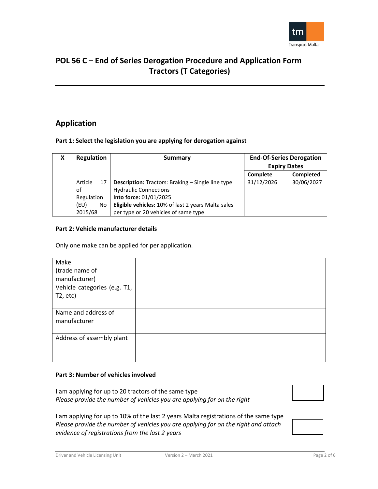

## **Application**

## **Part 1: Select the legislation you are applying for derogation against**

| X | <b>Regulation</b>   | Summary                                                                                  | <b>End-Of-Series Derogation</b> |            |
|---|---------------------|------------------------------------------------------------------------------------------|---------------------------------|------------|
|   |                     |                                                                                          | <b>Expiry Dates</b>             |            |
|   |                     |                                                                                          | Complete                        | Completed  |
|   | Article<br>17<br>οf | <b>Description:</b> Tractors: Braking – Single line type<br><b>Hydraulic Connections</b> | 31/12/2026                      | 30/06/2027 |
|   | Regulation          | Into force: 01/01/2025                                                                   |                                 |            |
|   | (EU)<br>No          | Eligible vehicles: 10% of last 2 years Malta sales                                       |                                 |            |
|   | 2015/68             | per type or 20 vehicles of same type                                                     |                                 |            |

### **Part 2: Vehicle manufacturer details**

Only one make can be applied for per application.

| Make                         |  |
|------------------------------|--|
| (trade name of               |  |
| manufacturer)                |  |
| Vehicle categories (e.g. T1, |  |
| $T2$ , etc)                  |  |
|                              |  |
| Name and address of          |  |
| manufacturer                 |  |
|                              |  |
| Address of assembly plant    |  |
|                              |  |
|                              |  |

### **Part 3: Number of vehicles involved**

I am applying for up to 20 tractors of the same type *Please provide the number of vehicles you are applying for on the right* 



I am applying for up to 10% of the last 2 years Malta registrations of the same type *Please provide the number of vehicles you are applying for on the right and attach evidence of registrations from the last 2 years*

Driver and Vehicle Licensing Unit Version 2 – March 2021 Page 2 of 6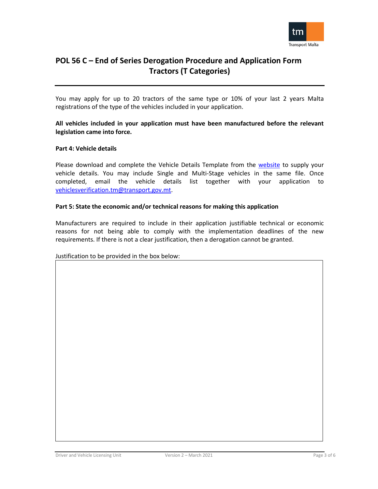

You may apply for up to 20 tractors of the same type or 10% of your last 2 years Malta registrations of the type of the vehicles included in your application.

## **All vehicles included in your application must have been manufactured before the relevant legislation came into force.**

### **Part 4: Vehicle details**

Please download and complete the Vehicle Details Template from the [website](https://www.transport.gov.mt/land/vehicles/registering-and-licensing-a-motor-vehicle/registration-of-end-of-series-vehicles-4613) to supply your vehicle details. You may include Single and Multi-Stage vehicles in the same file. Once completed, email the vehicle details list together with your application to [vehiclesverification.tm@transport.gov.mt.](mailto:vehiclesverification.tm@transport.gov.mt)

### **Part 5: State the economic and/or technical reasons for making this application**

Manufacturers are required to include in their application justifiable technical or economic reasons for not being able to comply with the implementation deadlines of the new requirements. If there is not a clear justification, then a derogation cannot be granted.

### Justification to be provided in the box below: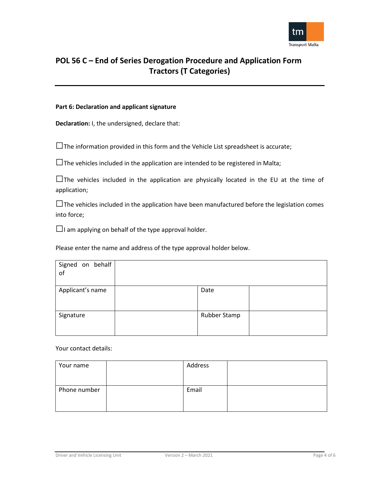

## **Part 6: Declaration and applicant signature**

**Declaration:** I, the undersigned, declare that:

 $\square$  The information provided in this form and the Vehicle List spreadsheet is accurate;

 $\square$  The vehicles included in the application are intended to be registered in Malta;

 $\square$  The vehicles included in the application are physically located in the EU at the time of application;

 $\square$  The vehicles included in the application have been manufactured before the legislation comes into force;

 $\Box$ I am applying on behalf of the type approval holder.

Please enter the name and address of the type approval holder below.

| Signed on behalf<br>of |              |  |
|------------------------|--------------|--|
| Applicant's name       | Date         |  |
| Signature              | Rubber Stamp |  |

Your contact details:

| Your name    | Address |  |
|--------------|---------|--|
|              |         |  |
|              |         |  |
| Phone number | Email   |  |
|              |         |  |
|              |         |  |
|              |         |  |

Driver and Vehicle Licensing Unit Version 2 – March 2021 Page 4 of 6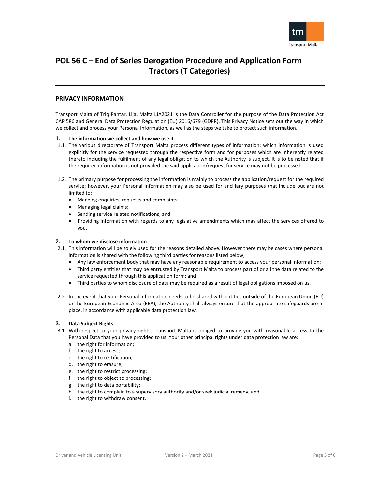

#### **PRIVACY INFORMATION**

Transport Malta of Triq Pantar, Lija, Malta LJA2021 is the Data Controller for the purpose of the Data Protection Act CAP 586 and General Data Protection Regulation (EU) 2016/679 (GDPR). This Privacy Notice sets out the way in which we collect and process your Personal Information, as well as the steps we take to protect such information.

#### **1. The information we collect and how we use it**

- 1.1. The various directorate of Transport Malta process different types of information; which information is used explicitly for the service requested through the respective form and for purposes which are inherently related thereto including the fulfilment of any legal obligation to which the Authority is subject. It is to be noted that if the required information is not provided the said application/request for service may not be processed.
- 1.2. The primary purpose for processing the information is mainly to process the application/request for the required service; however, your Personal Information may also be used for ancillary purposes that include but are not limited to:
	- Manging enquiries, requests and complaints;
	- Managing legal claims;
	- Sending service related notifications; and
	- Providing information with regards to any legislative amendments which may affect the services offered to you.

#### **2. To whom we disclose information**

- 2.1. This information will be solely used for the reasons detailed above. However there may be cases where personal information is shared with the following third parties for reasons listed below;
	- Any law enforcement body that may have any reasonable requirement to access your personal information;
	- Third party entities that may be entrusted by Transport Malta to process part of or all the data related to the service requested through this application form; and
	- Third parties to whom disclosure of data may be required as a result of legal obligations imposed on us.
- 2.2. In the event that your Personal Information needs to be shared with entities outside of the European Union (EU) or the European Economic Area (EEA), the Authority shall always ensure that the appropriate safeguards are in place, in accordance with applicable data protection law.

#### **3. Data Subject Rights**

- 3.1. With respect to your privacy rights, Transport Malta is obliged to provide you with reasonable access to the Personal Data that you have provided to us. Your other principal rights under data protection law are:
	- a. the right for information;
	- b. the right to access;
	- c. the right to rectification;
	- d. the right to erasure;
	- e. the right to restrict processing;
	- f. the right to object to processing;
	- g. the right to data portability;
	- h. the right to complain to a supervisory authority and/or seek judicial remedy; and
	- i. the right to withdraw consent.